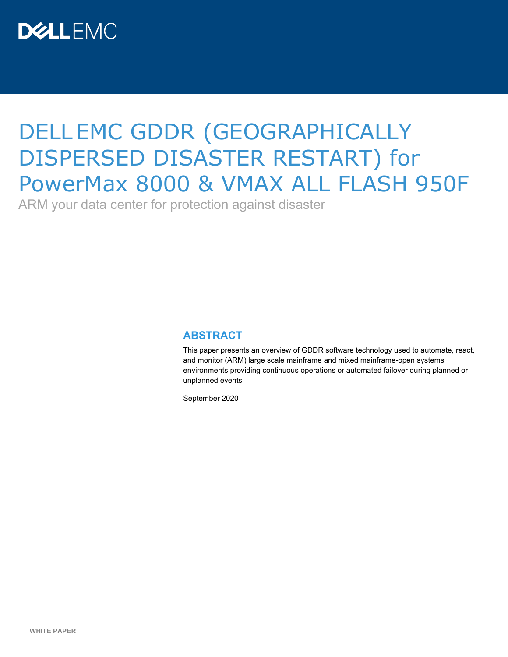

# DELLEMC GDDR (GEOGRAPHICALLY DISPERSED DISASTER RESTART) for PowerMax 8000 & VMAX ALL FLASH 950F

ARM your data center for protection against disaster

#### **ABSTRACT**

This paper presents an overview of GDDR software technology used to automate, react, and monitor (ARM) large scale mainframe and mixed mainframe-open systems environments providing continuous operations or automated failover during planned or unplanned events

September 2020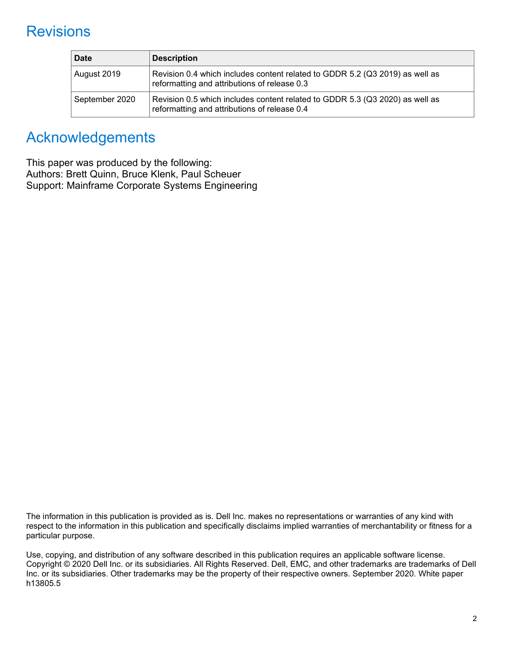# **Revisions**

| ∣ Date         | <b>Description</b>                                                                                                           |
|----------------|------------------------------------------------------------------------------------------------------------------------------|
| August 2019    | Revision 0.4 which includes content related to GDDR 5.2 (Q3 2019) as well as<br>reformatting and attributions of release 0.3 |
| September 2020 | Revision 0.5 which includes content related to GDDR 5.3 (Q3 2020) as well as<br>reformatting and attributions of release 0.4 |

# Acknowledgements

This paper was produced by the following: Authors: Brett Quinn, Bruce Klenk, Paul Scheuer Support: Mainframe Corporate Systems Engineering

The information in this publication is provided as is. Dell Inc. makes no representations or warranties of any kind with respect to the information in this publication and specifically disclaims implied warranties of merchantability or fitness for a particular purpose.

Use, copying, and distribution of any software described in this publication requires an applicable software license. Copyright © 2020 Dell Inc. or its subsidiaries. All Rights Reserved. Dell, EMC, and other trademarks are trademarks of Dell Inc. or its subsidiaries. Other trademarks may be the property of their respective owners. September 2020. White paper h13805.5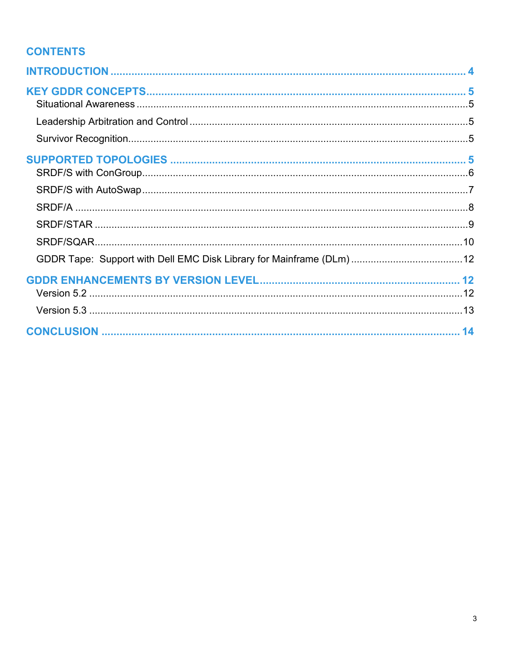# **CONTENTS**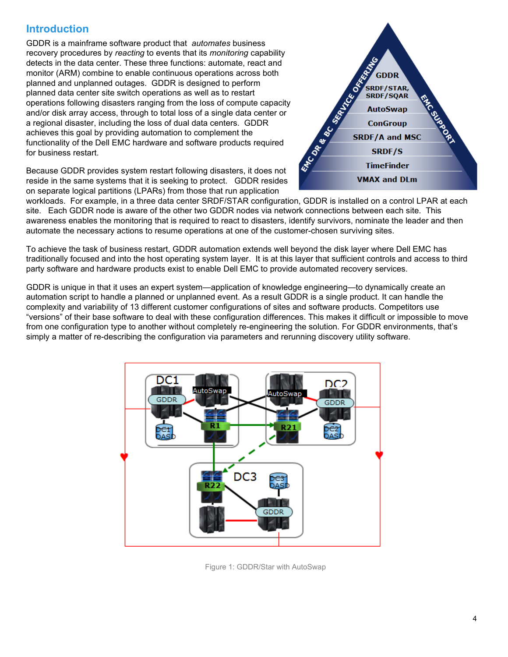### <span id="page-3-0"></span>**Introduction**

GDDR is a mainframe software product that *automates* business recovery procedures by *reacting* to events that its *monitoring* capability detects in the data center. These three functions: automate, react and monitor (ARM) combine to enable continuous operations across both planned and unplanned outages. GDDR is designed to perform planned data center site switch operations as well as to restart operations following disasters ranging from the loss of compute capacity and/or disk array access, through to total loss of a single data center or a regional disaster, including the loss of dual data centers. GDDR achieves this goal by providing automation to complement the functionality of the Dell EMC hardware and software products required for business restart.

Because GDDR provides system restart following disasters, it does not reside in the same systems that it is seeking to protect. GDDR resides on separate logical partitions (LPARs) from those that run application



workloads. For example, in a three data center SRDF/STAR configuration, GDDR is installed on a control LPAR at each site. Each GDDR node is aware of the other two GDDR nodes via network connections between each site. This awareness enables the monitoring that is required to react to disasters, identify survivors, nominate the leader and then automate the necessary actions to resume operations at one of the customer-chosen surviving sites.

To achieve the task of business restart, GDDR automation extends well beyond the disk layer where Dell EMC has traditionally focused and into the host operating system layer. It is at this layer that sufficient controls and access to third party software and hardware products exist to enable Dell EMC to provide automated recovery services.

GDDR is unique in that it uses an expert system—application of knowledge engineering—to dynamically create an automation script to handle a planned or unplanned event. As a result GDDR is a single product. It can handle the complexity and variability of 13 different customer configurations of sites and software products. Competitors use "versions" of their base software to deal with these configuration differences. This makes it difficult or impossible to move from one configuration type to another without completely re-engineering the solution. For GDDR environments, that's simply a matter of re-describing the configuration via parameters and rerunning discovery utility software.



Figure 1: GDDR/Star with AutoSwap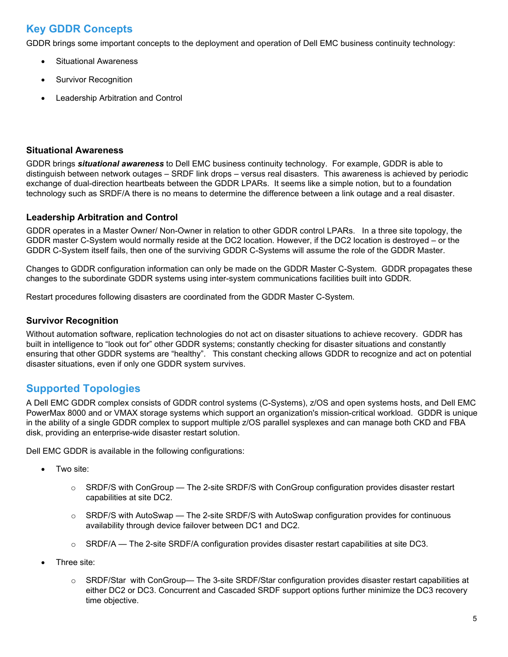# <span id="page-4-0"></span>**Key GDDR Concepts**

GDDR brings some important concepts to the deployment and operation of Dell EMC business continuity technology:

- Situational Awareness
- **Survivor Recognition**
- Leadership Arbitration and Control

#### <span id="page-4-1"></span>**Situational Awareness**

GDDR brings *situational awareness* to Dell EMC business continuity technology. For example, GDDR is able to distinguish between network outages – SRDF link drops – versus real disasters. This awareness is achieved by periodic exchange of dual-direction heartbeats between the GDDR LPARs. It seems like a simple notion, but to a foundation technology such as SRDF/A there is no means to determine the difference between a link outage and a real disaster.

#### <span id="page-4-2"></span>**Leadership Arbitration and Control**

GDDR operates in a Master Owner/ Non-Owner in relation to other GDDR control LPARs. In a three site topology, the GDDR master C-System would normally reside at the DC2 location. However, if the DC2 location is destroyed – or the GDDR C-System itself fails, then one of the surviving GDDR C-Systems will assume the role of the GDDR Master.

Changes to GDDR configuration information can only be made on the GDDR Master C-System. GDDR propagates these changes to the subordinate GDDR systems using inter-system communications facilities built into GDDR.

Restart procedures following disasters are coordinated from the GDDR Master C-System.

#### <span id="page-4-3"></span>**Survivor Recognition**

Without automation software, replication technologies do not act on disaster situations to achieve recovery. GDDR has built in intelligence to "look out for" other GDDR systems; constantly checking for disaster situations and constantly ensuring that other GDDR systems are "healthy". This constant checking allows GDDR to recognize and act on potential disaster situations, even if only one GDDR system survives.

### <span id="page-4-4"></span>**Supported Topologies**

A Dell EMC GDDR complex consists of GDDR control systems (C-Systems), z/OS and open systems hosts, and Dell EMC PowerMax 8000 and or VMAX storage systems which support an organization's mission-critical workload. GDDR is unique in the ability of a single GDDR complex to support multiple z/OS parallel sysplexes and can manage both CKD and FBA disk, providing an enterprise-wide disaster restart solution.

Dell EMC GDDR is available in the following configurations:

- Two site:
	- o SRDF/S with ConGroup The 2-site SRDF/S with ConGroup configuration provides disaster restart capabilities at site DC2.
	- $\circ$  SRDF/S with AutoSwap The 2-site SRDF/S with AutoSwap configuration provides for continuous availability through device failover between DC1 and DC2.
	- $\circ$  SRDF/A The 2-site SRDF/A configuration provides disaster restart capabilities at site DC3.
- Three site:
	- $\circ$  SRDF/Star with ConGroup— The 3-site SRDF/Star configuration provides disaster restart capabilities at either DC2 or DC3. Concurrent and Cascaded SRDF support options further minimize the DC3 recovery time objective.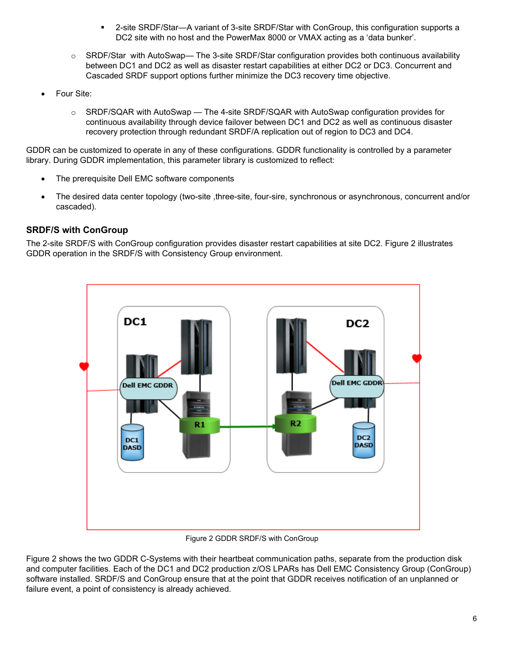- 2-site SRDF/Star—A variant of 3-site SRDF/Star with ConGroup, this configuration supports a DC2 site with no host and the PowerMax 8000 or VMAX acting as a 'data bunker'.
- $\circ$  SRDF/Star with AutoSwap— The 3-site SRDF/Star configuration provides both continuous availability between DC1 and DC2 as well as disaster restart capabilities at either DC2 or DC3. Concurrent and Cascaded SRDF support options further minimize the DC3 recovery time objective.
- Four Site:
	- $\circ$  SRDF/SQAR with AutoSwap The 4-site SRDF/SQAR with AutoSwap configuration provides for continuous availability through device failover between DC1 and DC2 as well as continuous disaster recovery protection through redundant SRDF/A replication out of region to DC3 and DC4.

GDDR can be customized to operate in any of these configurations. GDDR functionality is controlled by a parameter library. During GDDR implementation, this parameter library is customized to reflect:

- The prerequisite Dell EMC software components
- The desired data center topology (two-site ,three-site, four-sire, synchronous or asynchronous, concurrent and/or cascaded).

#### <span id="page-5-0"></span>**SRDF/S with ConGroup**

The 2-site SRDF/S with ConGroup configuration provides disaster restart capabilities at site DC2. Figure 2 illustrates GDDR operation in the SRDF/S with Consistency Group environment.



Figure 2 GDDR SRDF/S with ConGroup

Figure 2 shows the two GDDR C-Systems with their heartbeat communication paths, separate from the production disk and computer facilities. Each of the DC1 and DC2 production z/OS LPARs has Dell EMC Consistency Group (ConGroup) software installed. SRDF/S and ConGroup ensure that at the point that GDDR receives notification of an unplanned or failure event, a point of consistency is already achieved.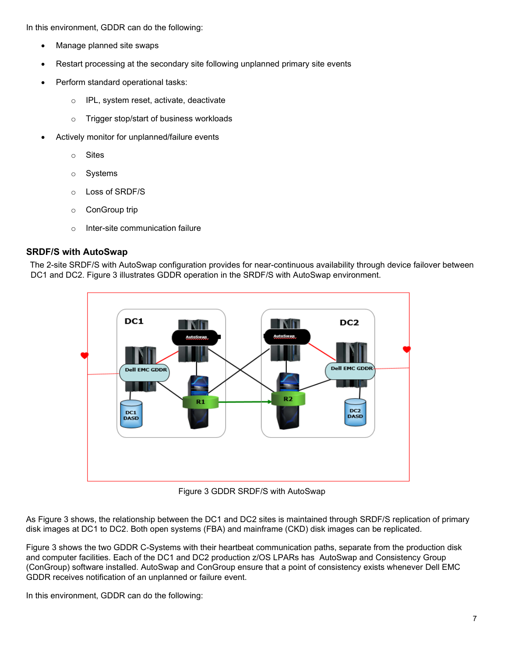In this environment, GDDR can do the following:

- Manage planned site swaps
- Restart processing at the secondary site following unplanned primary site events
- Perform standard operational tasks:
	- o IPL, system reset, activate, deactivate
	- o Trigger stop/start of business workloads
- Actively monitor for unplanned/failure events
	- o Sites
	- o Systems
	- o Loss of SRDF/S
	- o ConGroup trip
	- o Inter-site communication failure

#### <span id="page-6-0"></span>**SRDF/S with AutoSwap**

The 2-site SRDF/S with AutoSwap configuration provides for near-continuous availability through device failover between DC1 and DC2. Figure 3 illustrates GDDR operation in the SRDF/S with AutoSwap environment.



Figure 3 GDDR SRDF/S with AutoSwap

As Figure 3 shows, the relationship between the DC1 and DC2 sites is maintained through SRDF/S replication of primary disk images at DC1 to DC2. Both open systems (FBA) and mainframe (CKD) disk images can be replicated.

Figure 3 shows the two GDDR C-Systems with their heartbeat communication paths, separate from the production disk and computer facilities. Each of the DC1 and DC2 production z/OS LPARs has AutoSwap and Consistency Group (ConGroup) software installed. AutoSwap and ConGroup ensure that a point of consistency exists whenever Dell EMC GDDR receives notification of an unplanned or failure event.

In this environment, GDDR can do the following: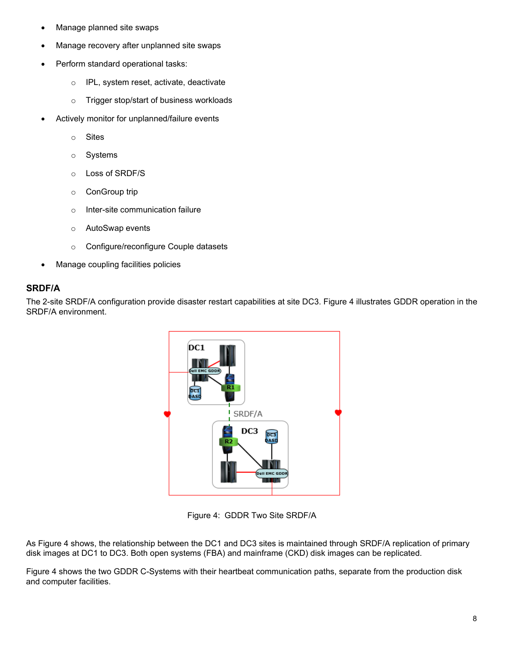- Manage planned site swaps
- Manage recovery after unplanned site swaps
- Perform standard operational tasks:
	- o IPL, system reset, activate, deactivate
	- o Trigger stop/start of business workloads
- Actively monitor for unplanned/failure events
	- o Sites
	- o Systems
	- o Loss of SRDF/S
	- o ConGroup trip
	- o Inter-site communication failure
	- o AutoSwap events
	- o Configure/reconfigure Couple datasets
- Manage coupling facilities policies

#### <span id="page-7-0"></span>**SRDF/A**

The 2-site SRDF/A configuration provide disaster restart capabilities at site DC3. Figure 4 illustrates GDDR operation in the SRDF/A environment.



Figure 4: GDDR Two Site SRDF/A

As Figure 4 shows, the relationship between the DC1 and DC3 sites is maintained through SRDF/A replication of primary disk images at DC1 to DC3. Both open systems (FBA) and mainframe (CKD) disk images can be replicated.

Figure 4 shows the two GDDR C-Systems with their heartbeat communication paths, separate from the production disk and computer facilities.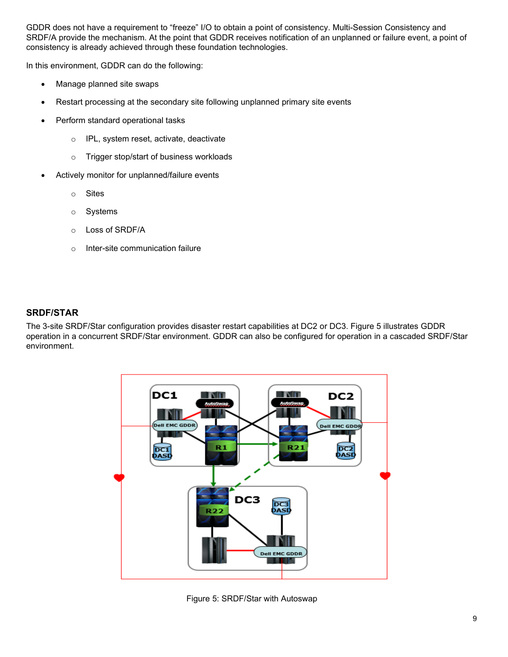GDDR does not have a requirement to "freeze" I/O to obtain a point of consistency. Multi-Session Consistency and SRDF/A provide the mechanism. At the point that GDDR receives notification of an unplanned or failure event, a point of consistency is already achieved through these foundation technologies.

In this environment, GDDR can do the following:

- Manage planned site swaps
- Restart processing at the secondary site following unplanned primary site events
- Perform standard operational tasks
	- o IPL, system reset, activate, deactivate
	- o Trigger stop/start of business workloads
- Actively monitor for unplanned/failure events
	- o Sites
	- o Systems
	- o Loss of SRDF/A
	- o Inter-site communication failure

#### <span id="page-8-0"></span>**SRDF/STAR**

The 3-site SRDF/Star configuration provides disaster restart capabilities at DC2 or DC3. Figure 5 illustrates GDDR operation in a concurrent SRDF/Star environment. GDDR can also be configured for operation in a cascaded SRDF/Star environment.



Figure 5: SRDF/Star with Autoswap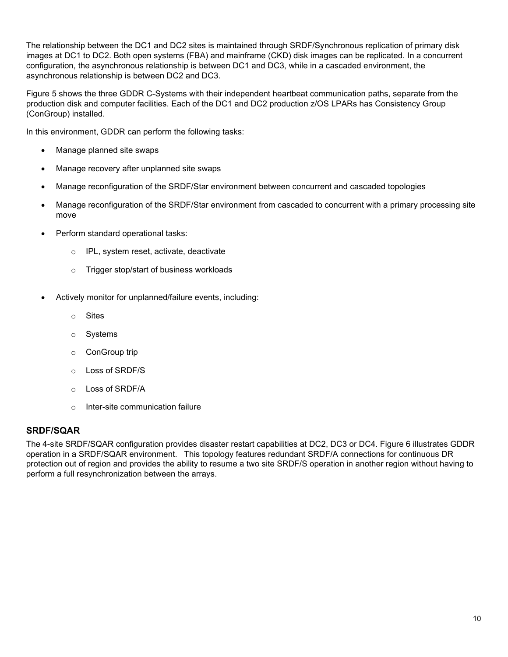The relationship between the DC1 and DC2 sites is maintained through SRDF/Synchronous replication of primary disk images at DC1 to DC2. Both open systems (FBA) and mainframe (CKD) disk images can be replicated. In a concurrent configuration, the asynchronous relationship is between DC1 and DC3, while in a cascaded environment, the asynchronous relationship is between DC2 and DC3.

Figure 5 shows the three GDDR C-Systems with their independent heartbeat communication paths, separate from the production disk and computer facilities. Each of the DC1 and DC2 production z/OS LPARs has Consistency Group (ConGroup) installed.

In this environment, GDDR can perform the following tasks:

- Manage planned site swaps
- Manage recovery after unplanned site swaps
- Manage reconfiguration of the SRDF/Star environment between concurrent and cascaded topologies
- Manage reconfiguration of the SRDF/Star environment from cascaded to concurrent with a primary processing site move
- Perform standard operational tasks:
	- o IPL, system reset, activate, deactivate
	- o Trigger stop/start of business workloads
- Actively monitor for unplanned/failure events, including:
	- o Sites
	- o Systems
	- o ConGroup trip
	- o Loss of SRDF/S
	- o Loss of SRDF/A
	- o Inter-site communication failure

#### <span id="page-9-0"></span>**SRDF/SQAR**

The 4-site SRDF/SQAR configuration provides disaster restart capabilities at DC2, DC3 or DC4. Figure 6 illustrates GDDR operation in a SRDF/SQAR environment. This topology features redundant SRDF/A connections for continuous DR protection out of region and provides the ability to resume a two site SRDF/S operation in another region without having to perform a full resynchronization between the arrays.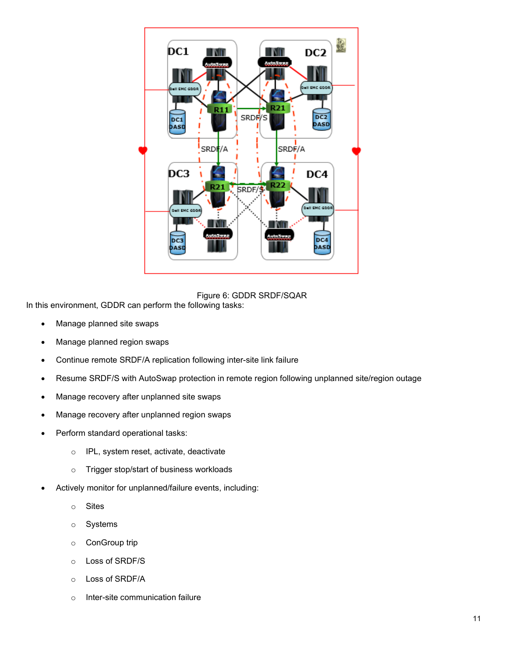

Figure 6: GDDR SRDF/SQAR

In this environment, GDDR can perform the following tasks:

- Manage planned site swaps
- Manage planned region swaps
- Continue remote SRDF/A replication following inter-site link failure
- Resume SRDF/S with AutoSwap protection in remote region following unplanned site/region outage
- Manage recovery after unplanned site swaps
- Manage recovery after unplanned region swaps
- Perform standard operational tasks:
	- o IPL, system reset, activate, deactivate
	- o Trigger stop/start of business workloads
- Actively monitor for unplanned/failure events, including:
	- o Sites
	- o Systems
	- o ConGroup trip
	- o Loss of SRDF/S
	- o Loss of SRDF/A
	- o Inter-site communication failure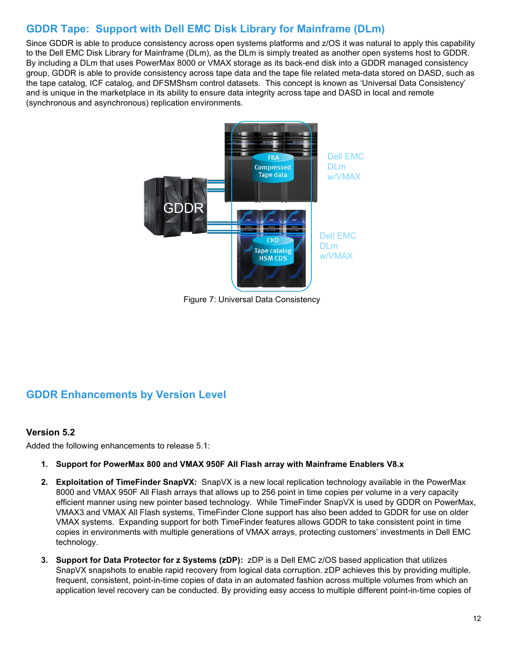# <span id="page-11-0"></span>**GDDR Tape: Support with Dell EMC Disk Library for Mainframe (DLm)**

Since GDDR is able to produce consistency across open systems platforms and z/OS it was natural to apply this capability to the Dell EMC Disk Library for Mainframe (DLm), as the DLm is simply treated as another open systems host to GDDR. By including a DLm that uses PowerMax 8000 or VMAX storage as its back-end disk into a GDDR managed consistency group, GDDR is able to provide consistency across tape data and the tape file related meta-data stored on DASD, such as the tape catalog, ICF catalog, and DFSMShsm control datasets. This concept is known as 'Universal Data Consistency' and is unique in the marketplace in its ability to ensure data integrity across tape and DASD in local and remote (synchronous and asynchronous) replication environments.



Figure 7: Universal Data Consistency

# <span id="page-11-1"></span>**GDDR Enhancements by Version Level**

#### <span id="page-11-2"></span>**Version 5.2**

Added the following enhancements to release 5.1:

#### **1. Support for PowerMax 800 and VMAX 950F All Flash array with Mainframe Enablers V8.x**

- **2. Exploitation of TimeFinder SnapVX:** SnapVX is a new local replication technology available in the PowerMax 8000 and VMAX 950F All Flash arrays that allows up to 256 point in time copies per volume in a very capacity efficient manner using new pointer based technology. While TimeFinder SnapVX is used by GDDR on PowerMax, VMAX3 and VMAX All Flash systems, TimeFinder Clone support has also been added to GDDR for use on older VMAX systems. Expanding support for both TimeFinder features allows GDDR to take consistent point in time copies in environments with multiple generations of VMAX arrays, protecting customers' investments in Dell EMC technology.
- **3. Support for Data Protector for z Systems (zDP):** zDP is a Dell EMC z/OS based application that utilizes SnapVX snapshots to enable rapid recovery from logical data corruption. zDP achieves this by providing multiple, frequent, consistent, point-in-time copies of data in an automated fashion across multiple volumes from which an application level recovery can be conducted. By providing easy access to multiple different point-in-time copies of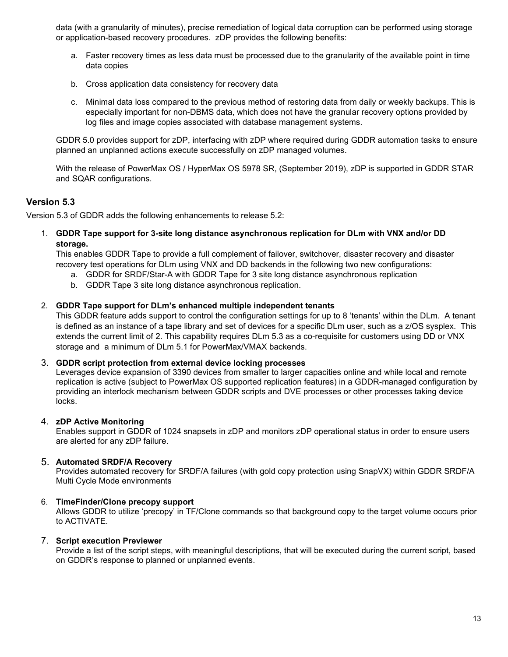data (with a granularity of minutes), precise remediation of logical data corruption can be performed using storage or application-based recovery procedures. zDP provides the following benefits:

- a. Faster recovery times as less data must be processed due to the granularity of the available point in time data copies
- b. Cross application data consistency for recovery data
- c. Minimal data loss compared to the previous method of restoring data from daily or weekly backups. This is especially important for non-DBMS data, which does not have the granular recovery options provided by log files and image copies associated with database management systems.

GDDR 5.0 provides support for zDP, interfacing with zDP where required during GDDR automation tasks to ensure planned an unplanned actions execute successfully on zDP managed volumes.

With the release of PowerMax OS / HyperMax OS 5978 SR, (September 2019), zDP is supported in GDDR STAR and SQAR configurations.

#### <span id="page-12-0"></span>**Version 5.3**

Version 5.3 of GDDR adds the following enhancements to release 5.2:

1. **GDDR Tape support for 3-site long distance asynchronous replication for DLm with VNX and/or DD storage.**

This enables GDDR Tape to provide a full complement of failover, switchover, disaster recovery and disaster recovery test operations for DLm using VNX and DD backends in the following two new configurations:

- a. GDDR for SRDF/Star-A with GDDR Tape for 3 site long distance asynchronous replication
- b. GDDR Tape 3 site long distance asynchronous replication.

#### 2. **GDDR Tape support for DLm's enhanced multiple independent tenants**

This GDDR feature adds support to control the configuration settings for up to 8 'tenants' within the DLm. A tenant is defined as an instance of a tape library and set of devices for a specific DLm user, such as a z/OS sysplex. This extends the current limit of 2. This capability requires DLm 5.3 as a co-requisite for customers using DD or VNX storage and a minimum of DLm 5.1 for PowerMax/VMAX backends.

#### 3. **GDDR script protection from external device locking processes**

Leverages device expansion of 3390 devices from smaller to larger capacities online and while local and remote replication is active (subject to PowerMax OS supported replication features) in a GDDR-managed configuration by providing an interlock mechanism between GDDR scripts and DVE processes or other processes taking device locks.

#### 4. **zDP Active Monitoring**

Enables support in GDDR of 1024 snapsets in zDP and monitors zDP operational status in order to ensure users are alerted for any zDP failure.

#### 5. **Automated SRDF/A Recovery**

Provides automated recovery for SRDF/A failures (with gold copy protection using SnapVX) within GDDR SRDF/A Multi Cycle Mode environments

#### 6. **TimeFinder/Clone precopy support**

Allows GDDR to utilize 'precopy' in TF/Clone commands so that background copy to the target volume occurs prior to ACTIVATE.

#### <span id="page-12-1"></span>7. **Script execution Previewer**

Provide a list of the script steps, with meaningful descriptions, that will be executed during the current script, based on GDDR's response to planned or unplanned events.